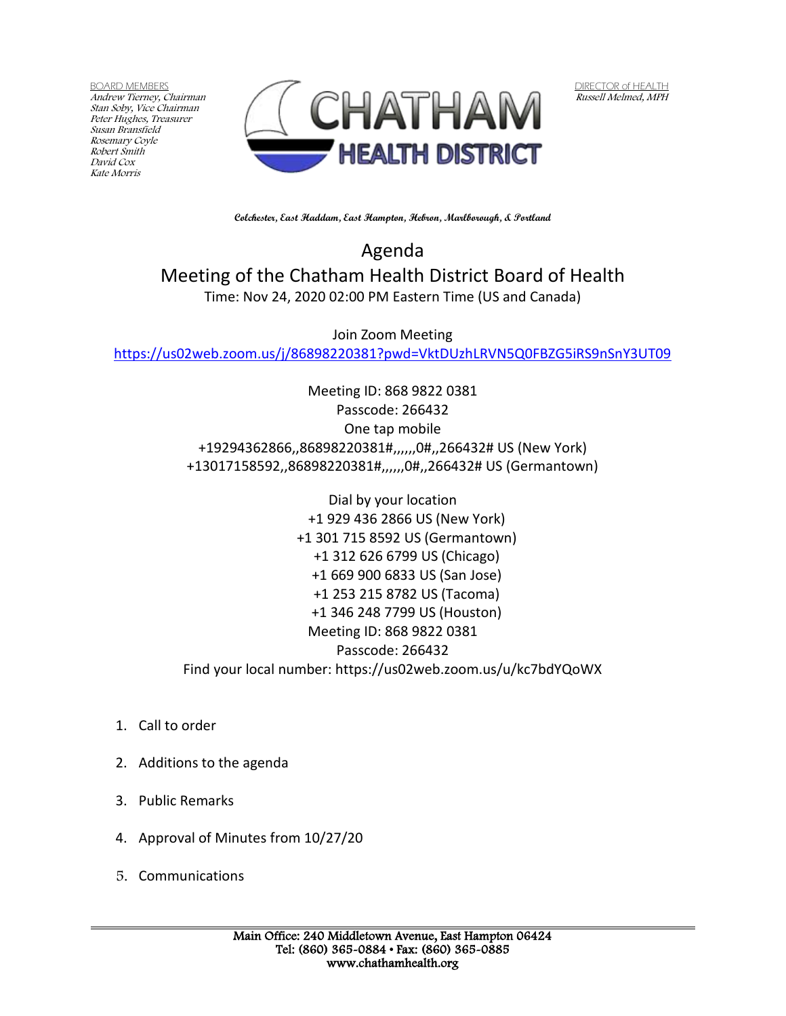BOARD MEMBERS Andrew Tierney, Chairman Stan Soby, Vice Chairman Peter Hughes, Treasurer Susan Bransfield Rosemary Coyle Robert Smith David Cox Kate Morris



DIRECTOR of HEALTH Russell Melmed, MPH

**Colchester, East Haddam, East Hampton, Hebron, Marlborough, & Portland**

Agenda Meeting of the Chatham Health District Board of Health Time: Nov 24, 2020 02:00 PM Eastern Time (US and Canada)

Join Zoom Meeting <https://us02web.zoom.us/j/86898220381?pwd=VktDUzhLRVN5Q0FBZG5iRS9nSnY3UT09>

> Meeting ID: 868 9822 0381 Passcode: 266432 One tap mobile +19294362866,,86898220381#,,,,,,0#,,266432# US (New York) +13017158592,,86898220381#,,,,,,0#,,266432# US (Germantown)

> Dial by your location +1 929 436 2866 US (New York) +1 301 715 8592 US (Germantown) +1 312 626 6799 US (Chicago) +1 669 900 6833 US (San Jose) +1 253 215 8782 US (Tacoma) +1 346 248 7799 US (Houston) Meeting ID: 868 9822 0381 Passcode: 266432 Find your local number: https://us02web.zoom.us/u/kc7bdYQoWX

- 1. Call to order
- 2. Additions to the agenda
- 3. Public Remarks
- 4. Approval of Minutes from 10/27/20
- 5. Communications